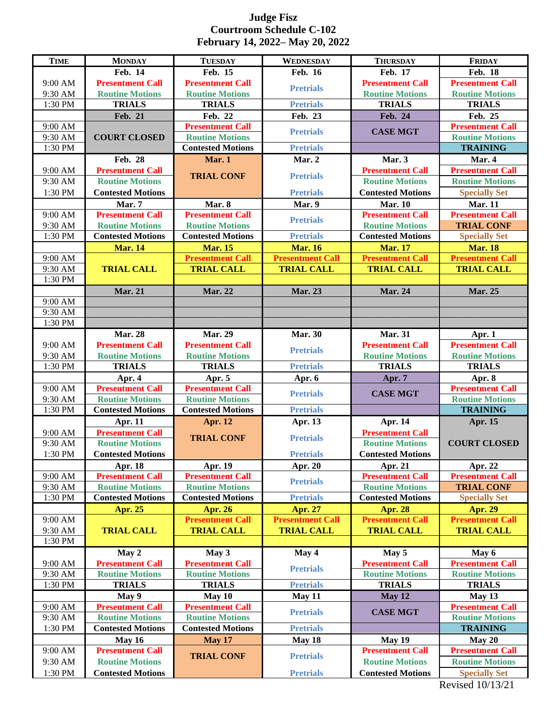## **Judge Fisz Courtroom Schedule C-102 February 14, 2022– May 20, 2022**

| <b>TIME</b>        | <b>MONDAY</b>                                     | <b>TUESDAY</b>                                    | WEDNESDAY               | <b>THURSDAY</b>                                   | <b>FRIDAY</b>                                     |
|--------------------|---------------------------------------------------|---------------------------------------------------|-------------------------|---------------------------------------------------|---------------------------------------------------|
|                    | Feb. 14                                           | Feb. 15                                           | <b>Feb. 16</b>          | <b>Feb. 17</b>                                    | <b>Feb. 18</b>                                    |
| 9:00 AM            | <b>Presentment Call</b>                           | <b>Presentment Call</b>                           |                         | <b>Presentment Call</b>                           | <b>Presentment Call</b>                           |
| 9:30 AM            | <b>Routine Motions</b>                            | <b>Routine Motions</b>                            | <b>Pretrials</b>        | <b>Routine Motions</b>                            | <b>Routine Motions</b>                            |
| 1:30 PM            | <b>TRIALS</b>                                     | <b>TRIALS</b>                                     | <b>Pretrials</b>        | <b>TRIALS</b>                                     | <b>TRIALS</b>                                     |
|                    | <b>Feb. 21</b>                                    | Feb. 22                                           | Feb. 23                 | Feb. 24                                           | Feb. 25                                           |
| 9:00 AM            |                                                   | <b>Presentment Call</b>                           | <b>Pretrials</b>        | <b>CASE MGT</b>                                   | <b>Presentment Call</b>                           |
| 9:30 AM            | <b>COURT CLOSED</b>                               | <b>Routine Motions</b>                            |                         |                                                   | <b>Routine Motions</b>                            |
| 1:30 PM            |                                                   | <b>Contested Motions</b>                          | <b>Pretrials</b>        |                                                   | <b>TRAINING</b>                                   |
|                    | Feb. 28                                           | Mar. 1                                            | Mar. 2                  | Mar. 3                                            | Mar. 4                                            |
| 9:00 AM            | <b>Presentment Call</b>                           | <b>TRIAL CONF</b>                                 | <b>Pretrials</b>        | <b>Presentment Call</b>                           | <b>Presentment Call</b>                           |
| 9:30 AM            | <b>Routine Motions</b>                            |                                                   |                         | <b>Routine Motions</b>                            | <b>Routine Motions</b>                            |
| 1:30 PM            | <b>Contested Motions</b>                          |                                                   | <b>Pretrials</b>        | <b>Contested Motions</b>                          | <b>Specially Set</b>                              |
|                    | Mar. 7                                            | Mar. 8                                            | Mar. 9                  | <b>Mar. 10</b>                                    | <b>Mar. 11</b>                                    |
| 9:00 AM            | <b>Presentment Call</b>                           | <b>Presentment Call</b>                           | <b>Pretrials</b>        | <b>Presentment Call</b>                           | <b>Presentment Call</b>                           |
| 9:30 AM            | <b>Routine Motions</b>                            | <b>Routine Motions</b>                            |                         | <b>Routine Motions</b>                            | <b>TRIAL CONF</b>                                 |
| 1:30 PM            | <b>Contested Motions</b>                          | <b>Contested Motions</b>                          | <b>Pretrials</b>        | <b>Contested Motions</b>                          | <b>Specially Set</b>                              |
|                    | <b>Mar. 14</b>                                    | <b>Mar. 15</b>                                    | <b>Mar. 16</b>          | <b>Mar. 17</b>                                    | <b>Mar. 18</b>                                    |
| 9:00 AM            |                                                   | <b>Presentment Call</b>                           | <b>Presentment Call</b> | <b>Presentment Call</b>                           | <b>Presentment Call</b>                           |
| 9:30 AM            | <b>TRIAL CALL</b>                                 | <b>TRIAL CALL</b>                                 | <b>TRIAL CALL</b>       | <b>TRIAL CALL</b>                                 | <b>TRIAL CALL</b>                                 |
| 1:30 PM            |                                                   |                                                   |                         |                                                   |                                                   |
|                    | <b>Mar. 21</b>                                    | <b>Mar. 22</b>                                    | Mar. 23                 | Mar. 24                                           | <b>Mar. 25</b>                                    |
| 9:00 AM            |                                                   |                                                   |                         |                                                   |                                                   |
| 9:30 AM            |                                                   |                                                   |                         |                                                   |                                                   |
| 1:30 PM            |                                                   |                                                   |                         |                                                   |                                                   |
|                    | <b>Mar. 28</b>                                    | <b>Mar. 29</b>                                    | <b>Mar. 30</b>          | <b>Mar. 31</b>                                    | Apr. $1$                                          |
| 9:00 AM<br>9:30 AM | <b>Presentment Call</b><br><b>Routine Motions</b> | <b>Presentment Call</b><br><b>Routine Motions</b> | <b>Pretrials</b>        | <b>Presentment Call</b><br><b>Routine Motions</b> | <b>Presentment Call</b><br><b>Routine Motions</b> |
| 1:30 PM            | <b>TRIALS</b>                                     | <b>TRIALS</b>                                     | <b>Pretrials</b>        | <b>TRIALS</b>                                     | <b>TRIALS</b>                                     |
|                    | Apr. $4$                                          | Apr. 5                                            | Apr. $6$                | Apr. 7                                            | Apr. 8                                            |
| 9:00 AM            | <b>Presentment Call</b>                           | <b>Presentment Call</b>                           |                         |                                                   | <b>Presentment Call</b>                           |
| 9:30 AM            | <b>Routine Motions</b>                            | <b>Routine Motions</b>                            | <b>Pretrials</b>        | <b>CASE MGT</b>                                   | <b>Routine Motions</b>                            |
| 1:30 PM            | <b>Contested Motions</b>                          | <b>Contested Motions</b>                          | <b>Pretrials</b>        |                                                   | <b>TRAINING</b>                                   |
|                    | Apr. 11                                           | <b>Apr. 12</b>                                    | Apr. 13                 | Apr. 14                                           | Apr. 15                                           |
| 9:00 AM            | <b>Presentment Call</b>                           |                                                   |                         | <b>Presentment Call</b>                           |                                                   |
| 9:30 AM            | <b>Routine Motions</b>                            | <b>TRIAL CONF</b>                                 | <b>Pretrials</b>        | <b>Routine Motions</b>                            | <b>COURT CLOSED</b>                               |
| 1:30 PM            | <b>Contested Motions</b>                          |                                                   | <b>Pretrials</b>        | <b>Contested Motions</b>                          |                                                   |
|                    | Apr. 18                                           | Apr. 19                                           | Apr. 20                 | Apr. 21                                           | Apr. 22                                           |
| 9:00 AM            | <b>Presentment Call</b>                           | <b>Presentment Call</b>                           |                         | <b>Presentment Call</b>                           | <b>Presentment Call</b>                           |
| 9:30 AM            | <b>Routine Motions</b>                            | <b>Routine Motions</b>                            | <b>Pretrials</b>        | <b>Routine Motions</b>                            | <b>TRIAL CONF</b>                                 |
| 1:30 PM            | <b>Contested Motions</b>                          | <b>Contested Motions</b>                          | <b>Pretrials</b>        | <b>Contested Motions</b>                          | <b>Specially Set</b>                              |
|                    | Apr. 25                                           | <b>Apr. 26</b>                                    | Apr. 27                 | <b>Apr. 28</b>                                    | <b>Apr. 29</b>                                    |
| 9:00 AM            |                                                   | <b>Presentment Call</b>                           | <b>Presentment Call</b> | <b>Presentment Call</b>                           | <b>Presentment Call</b>                           |
| 9:30 AM            | <b>TRIAL CALL</b>                                 | <b>TRIAL CALL</b>                                 | <b>TRIAL CALL</b>       | <b>TRIAL CALL</b>                                 | <b>TRIAL CALL</b>                                 |
| 1:30 PM            |                                                   |                                                   |                         |                                                   |                                                   |
|                    | May 2                                             | May 3                                             | May 4                   | May 5                                             | May 6                                             |
| 9:00 AM            | <b>Presentment Call</b>                           | <b>Presentment Call</b>                           | <b>Pretrials</b>        | <b>Presentment Call</b>                           | <b>Presentment Call</b>                           |
| 9:30 AM            | <b>Routine Motions</b>                            | <b>Routine Motions</b>                            |                         | <b>Routine Motions</b>                            | <b>Routine Motions</b>                            |
| 1:30 PM            | <b>TRIALS</b>                                     | <b>TRIALS</b>                                     | <b>Pretrials</b>        | <b>TRIALS</b>                                     | <b>TRIALS</b>                                     |
|                    | May 9                                             | May 10                                            | May 11                  | May 12                                            | May 13                                            |
| 9:00 AM            | <b>Presentment Call</b>                           | <b>Presentment Call</b>                           | <b>Pretrials</b>        | <b>CASE MGT</b>                                   | <b>Presentment Call</b>                           |
| 9:30 AM            | <b>Routine Motions</b>                            | <b>Routine Motions</b>                            |                         |                                                   | <b>Routine Motions</b>                            |
| 1:30 PM            | <b>Contested Motions</b>                          | <b>Contested Motions</b>                          | <b>Pretrials</b>        |                                                   | <b>TRAINING</b>                                   |
|                    | May 16                                            | <b>May 17</b>                                     | May 18                  | May 19                                            | May 20                                            |
| 9:00 AM            | <b>Presentment Call</b>                           | <b>TRIAL CONF</b>                                 | <b>Pretrials</b>        | <b>Presentment Call</b>                           | <b>Presentment Call</b>                           |
| 9:30 AM            | <b>Routine Motions</b>                            |                                                   |                         | <b>Routine Motions</b>                            | <b>Routine Motions</b>                            |
| $1:30~\mathrm{PM}$ | <b>Contested Motions</b>                          |                                                   | <b>Pretrials</b>        | <b>Contested Motions</b>                          | <b>Specially Set</b>                              |

Revised 10/13/21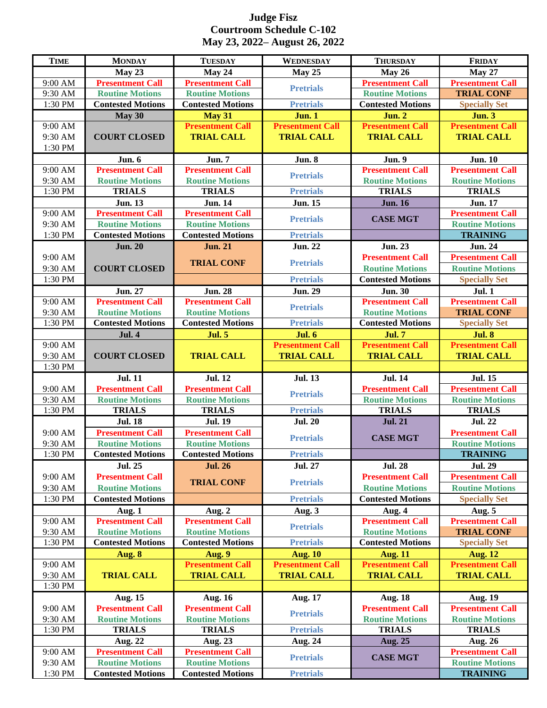## **Judge Fisz Courtroom Schedule C-102 May 23, 2022– August 26, 2022**

| <b>TIME</b>        | <b>MONDAY</b>                                      | <b>TUESDAY</b>                                     | <b>WEDNESDAY</b>        | <b>THURSDAY</b>                                   | <b>FRIDAY</b>                                     |
|--------------------|----------------------------------------------------|----------------------------------------------------|-------------------------|---------------------------------------------------|---------------------------------------------------|
|                    | May 23                                             | May 24                                             | May 25                  | <b>May 26</b>                                     | <b>May 27</b>                                     |
| 9:00 AM            | <b>Presentment Call</b>                            | <b>Presentment Call</b>                            |                         | <b>Presentment Call</b>                           | <b>Presentment Call</b>                           |
| 9:30 AM            | <b>Routine Motions</b>                             | <b>Routine Motions</b>                             | <b>Pretrials</b>        | <b>Routine Motions</b>                            | <b>TRIAL CONF</b>                                 |
| 1:30 PM            | <b>Contested Motions</b>                           | <b>Contested Motions</b>                           | <b>Pretrials</b>        | <b>Contested Motions</b>                          | <b>Specially Set</b>                              |
|                    | May 30                                             | <b>May 31</b>                                      | <b>Jun. 1</b>           | <b>Jun. 2</b>                                     | Jun.3                                             |
| 9:00 AM            |                                                    | <b>Presentment Call</b>                            | <b>Presentment Call</b> | <b>Presentment Call</b>                           | <b>Presentment Call</b>                           |
| 9:30 AM            | <b>COURT CLOSED</b>                                | <b>TRIAL CALL</b>                                  | <b>TRIAL CALL</b>       | <b>TRIAL CALL</b>                                 | <b>TRIAL CALL</b>                                 |
| 1:30 PM            |                                                    |                                                    |                         |                                                   |                                                   |
|                    | Jun. 6                                             | <b>Jun. 7</b>                                      | <b>Jun. 8</b>           | <b>Jun. 9</b>                                     | <b>Jun. 10</b>                                    |
| 9:00 AM            | <b>Presentment Call</b>                            | <b>Presentment Call</b>                            | <b>Pretrials</b>        | <b>Presentment Call</b>                           | <b>Presentment Call</b>                           |
| 9:30 AM            | <b>Routine Motions</b>                             | <b>Routine Motions</b>                             |                         | <b>Routine Motions</b>                            | <b>Routine Motions</b>                            |
| 1:30 PM            | <b>TRIALS</b>                                      | <b>TRIALS</b>                                      | <b>Pretrials</b>        | <b>TRIALS</b>                                     | <b>TRIALS</b>                                     |
|                    | <b>Jun. 13</b>                                     | <b>Jun. 14</b>                                     | <b>Jun. 15</b>          | <b>Jun. 16</b>                                    | <b>Jun. 17</b>                                    |
| 9:00 AM            | <b>Presentment Call</b>                            | <b>Presentment Call</b>                            | <b>Pretrials</b>        | <b>CASE MGT</b>                                   | <b>Presentment Call</b>                           |
| 9:30 AM<br>1:30 PM | <b>Routine Motions</b><br><b>Contested Motions</b> | <b>Routine Motions</b><br><b>Contested Motions</b> | <b>Pretrials</b>        |                                                   | <b>Routine Motions</b><br><b>TRAINING</b>         |
|                    | <b>Jun. 20</b>                                     | <b>Jun. 21</b>                                     | <b>Jun. 22</b>          | <b>Jun. 23</b>                                    | <b>Jun. 24</b>                                    |
| 9:00 AM            |                                                    |                                                    |                         | <b>Presentment Call</b>                           | <b>Presentment Call</b>                           |
| 9:30 AM            | <b>COURT CLOSED</b>                                | <b>TRIAL CONF</b>                                  | <b>Pretrials</b>        | <b>Routine Motions</b>                            | <b>Routine Motions</b>                            |
| 1:30 PM            |                                                    |                                                    | <b>Pretrials</b>        | <b>Contested Motions</b>                          | <b>Specially Set</b>                              |
|                    | <b>Jun. 27</b>                                     |                                                    | <b>Jun. 29</b>          |                                                   | <b>Jul. 1</b>                                     |
| 9:00 AM            | <b>Presentment Call</b>                            | <b>Jun. 28</b><br><b>Presentment Call</b>          |                         | <b>Jun. 30</b><br><b>Presentment Call</b>         | <b>Presentment Call</b>                           |
| 9:30 AM            | <b>Routine Motions</b>                             | <b>Routine Motions</b>                             | <b>Pretrials</b>        | <b>Routine Motions</b>                            | <b>TRIAL CONF</b>                                 |
| 1:30 PM            | <b>Contested Motions</b>                           | <b>Contested Motions</b>                           | <b>Pretrials</b>        | <b>Contested Motions</b>                          | <b>Specially Set</b>                              |
|                    | <b>Jul. 4</b>                                      | <b>Jul. 5</b>                                      | <b>Jul. 6</b>           | <b>Jul. 7</b>                                     | <b>Jul. 8</b>                                     |
| 9:00 AM            |                                                    |                                                    | <b>Presentment Call</b> | <b>Presentment Call</b>                           | <b>Presentment Call</b>                           |
| 9:30 AM            | <b>COURT CLOSED</b>                                | <b>TRIAL CALL</b>                                  | <b>TRIAL CALL</b>       | <b>TRIAL CALL</b>                                 | <b>TRIAL CALL</b>                                 |
| 1:30 PM            |                                                    |                                                    |                         |                                                   |                                                   |
|                    |                                                    |                                                    |                         |                                                   |                                                   |
|                    |                                                    |                                                    |                         |                                                   |                                                   |
|                    | <b>Jul. 11</b>                                     | <b>Jul. 12</b>                                     | <b>Jul. 13</b>          | <b>Jul. 14</b>                                    | <b>Jul. 15</b>                                    |
| 9:00 AM            | <b>Presentment Call</b><br><b>Routine Motions</b>  | <b>Presentment Call</b><br><b>Routine Motions</b>  | <b>Pretrials</b>        | <b>Presentment Call</b><br><b>Routine Motions</b> | <b>Presentment Call</b><br><b>Routine Motions</b> |
| 9:30 AM<br>1:30 PM | <b>TRIALS</b>                                      | <b>TRIALS</b>                                      | <b>Pretrials</b>        | <b>TRIALS</b>                                     | <b>TRIALS</b>                                     |
|                    | <b>Jul. 18</b>                                     | <b>Jul. 19</b>                                     | <b>Jul. 20</b>          | <b>Jul. 21</b>                                    | <b>Jul. 22</b>                                    |
| 9:00 AM            | <b>Presentment Call</b>                            | <b>Presentment Call</b>                            |                         |                                                   | <b>Presentment Call</b>                           |
| 9:30 AM            | <b>Routine Motions</b>                             | <b>Routine Motions</b>                             | <b>Pretrials</b>        | <b>CASE MGT</b>                                   | <b>Routine Motions</b>                            |
| 1:30 PM            | <b>Contested Motions</b>                           | <b>Contested Motions</b>                           | <b>Pretrials</b>        |                                                   | <b>TRAINING</b>                                   |
|                    | <b>Jul. 25</b>                                     | <b>Jul. 26</b>                                     | <b>Jul. 27</b>          | <b>Jul. 28</b>                                    | <b>Jul. 29</b>                                    |
| 9:00 AM            | <b>Presentment Call</b>                            |                                                    |                         | <b>Presentment Call</b>                           | <b>Presentment Call</b>                           |
| 9:30 AM            | <b>Routine Motions</b>                             | <b>TRIAL CONF</b>                                  | <b>Pretrials</b>        | <b>Routine Motions</b>                            | <b>Routine Motions</b>                            |
| 1:30 PM            | <b>Contested Motions</b>                           |                                                    | <b>Pretrials</b>        | <b>Contested Motions</b>                          | <b>Specially Set</b>                              |
|                    | Aug. 1                                             | Aug. 2                                             | Aug. 3                  | Aug. 4                                            | Aug. 5                                            |
| 9:00 AM            | <b>Presentment Call</b>                            | <b>Presentment Call</b>                            |                         | <b>Presentment Call</b>                           | <b>Presentment Call</b>                           |
| 9:30 AM            | <b>Routine Motions</b>                             | <b>Routine Motions</b>                             | <b>Pretrials</b>        | <b>Routine Motions</b>                            | <b>TRIAL CONF</b>                                 |
| 1:30 PM            | <b>Contested Motions</b>                           | <b>Contested Motions</b>                           | <b>Pretrials</b>        | <b>Contested Motions</b>                          | <b>Specially Set</b>                              |
|                    | Aug. 8                                             | Aug. 9                                             | <b>Aug. 10</b>          | <b>Aug. 11</b>                                    | <b>Aug. 12</b>                                    |
| 9:00 AM            |                                                    | <b>Presentment Call</b>                            | <b>Presentment Call</b> | <b>Presentment Call</b>                           | <b>Presentment Call</b>                           |
| 9:30 AM            | <b>TRIAL CALL</b>                                  | <b>TRIAL CALL</b>                                  | <b>TRIAL CALL</b>       | <b>TRIAL CALL</b>                                 | <b>TRIAL CALL</b>                                 |
| 1:30 PM            |                                                    |                                                    |                         |                                                   |                                                   |
|                    | <b>Aug. 15</b>                                     | <b>Aug. 16</b>                                     | <b>Aug. 17</b>          | <b>Aug. 18</b>                                    | <b>Aug. 19</b>                                    |
| 9:00 AM            | <b>Presentment Call</b>                            | <b>Presentment Call</b>                            | <b>Pretrials</b>        | <b>Presentment Call</b>                           | <b>Presentment Call</b>                           |
| 9:30 AM            | <b>Routine Motions</b>                             | <b>Routine Motions</b>                             |                         | <b>Routine Motions</b>                            | <b>Routine Motions</b>                            |
| 1:30 PM            | <b>TRIALS</b>                                      | <b>TRIALS</b>                                      | <b>Pretrials</b>        | <b>TRIALS</b>                                     | <b>TRIALS</b>                                     |
|                    | Aug. 22                                            | Aug. 23                                            | Aug. 24                 | <b>Aug. 25</b>                                    | <b>Aug. 26</b>                                    |
| 9:00 AM            | <b>Presentment Call</b>                            | <b>Presentment Call</b>                            | <b>Pretrials</b>        | <b>CASE MGT</b>                                   | <b>Presentment Call</b>                           |
| 9:30 AM<br>1:30 PM | <b>Routine Motions</b><br><b>Contested Motions</b> | <b>Routine Motions</b><br><b>Contested Motions</b> | <b>Pretrials</b>        |                                                   | <b>Routine Motions</b><br><b>TRAINING</b>         |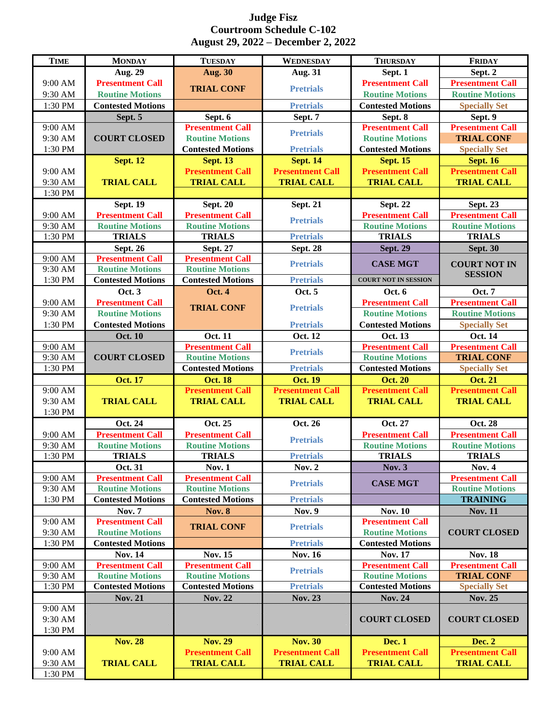## **Judge Fisz Courtroom Schedule C-102 August 29, 2022 – December 2, 2022**

| <b>TIME</b>        | <b>MONDAY</b>                                             | <b>TUESDAY</b>                             | <b>WEDNESDAY</b>        | <b>THURSDAY</b>                                    | <b>FRIDAY</b>                             |
|--------------------|-----------------------------------------------------------|--------------------------------------------|-------------------------|----------------------------------------------------|-------------------------------------------|
|                    | Aug. 29                                                   | <b>Aug. 30</b>                             | <b>Aug. 31</b>          | Sept. 1                                            | Sept. 2                                   |
| 9:00 AM            | <b>Presentment Call</b>                                   |                                            | <b>Pretrials</b>        | <b>Presentment Call</b>                            | <b>Presentment Call</b>                   |
| 9:30 AM            | <b>Routine Motions</b>                                    | <b>TRIAL CONF</b>                          |                         | <b>Routine Motions</b>                             | <b>Routine Motions</b>                    |
| 1:30 PM            | <b>Contested Motions</b>                                  |                                            | <b>Pretrials</b>        | <b>Contested Motions</b>                           | <b>Specially Set</b>                      |
|                    | Sept. 5                                                   | Sept. 6                                    | Sept. 7                 | Sept. 8                                            | Sept. 9                                   |
| 9:00 AM            |                                                           | <b>Presentment Call</b>                    | <b>Pretrials</b>        | <b>Presentment Call</b>                            | <b>Presentment Call</b>                   |
| 9:30 AM            | <b>COURT CLOSED</b>                                       | <b>Routine Motions</b>                     |                         | <b>Routine Motions</b>                             | <b>TRIAL CONF</b>                         |
| 1:30 PM            |                                                           | <b>Contested Motions</b>                   | <b>Pretrials</b>        | <b>Contested Motions</b>                           | <b>Specially Set</b>                      |
|                    | <b>Sept. 12</b>                                           | <b>Sept. 13</b>                            | <b>Sept. 14</b>         | <b>Sept. 15</b>                                    | <b>Sept. 16</b>                           |
| 9:00 AM            |                                                           | <b>Presentment Call</b>                    | <b>Presentment Call</b> | <b>Presentment Call</b>                            | <b>Presentment Call</b>                   |
| 9:30 AM            | <b>TRIAL CALL</b>                                         | <b>TRIAL CALL</b>                          | <b>TRIAL CALL</b>       | <b>TRIAL CALL</b>                                  | <b>TRIAL CALL</b>                         |
| 1:30 PM            |                                                           |                                            |                         |                                                    |                                           |
|                    | <b>Sept. 19</b>                                           | <b>Sept. 20</b>                            | <b>Sept. 21</b>         | <b>Sept. 22</b>                                    | <b>Sept. 23</b>                           |
| 9:00 AM            | <b>Presentment Call</b>                                   | <b>Presentment Call</b>                    | <b>Pretrials</b>        | <b>Presentment Call</b>                            | <b>Presentment Call</b>                   |
| 9:30 AM<br>1:30 PM | <b>Routine Motions</b><br><b>TRIALS</b>                   | <b>Routine Motions</b><br><b>TRIALS</b>    | <b>Pretrials</b>        | <b>Routine Motions</b><br><b>TRIALS</b>            | <b>Routine Motions</b><br><b>TRIALS</b>   |
|                    |                                                           |                                            |                         |                                                    |                                           |
| 9:00 AM            | <b>Sept. 26</b><br><b>Presentment Call</b>                | <b>Sept. 27</b><br><b>Presentment Call</b> | <b>Sept. 28</b>         | <b>Sept. 29</b>                                    | <b>Sept. 30</b>                           |
| 9:30 AM            | <b>Routine Motions</b>                                    | <b>Routine Motions</b>                     | <b>Pretrials</b>        | <b>CASE MGT</b>                                    | <b>COURT NOT IN</b>                       |
| 1:30 PM            | <b>Contested Motions</b>                                  | <b>Contested Motions</b>                   | <b>Pretrials</b>        | <b>COURT NOT IN SESSION</b>                        | <b>SESSION</b>                            |
|                    | <b>Oct. 3</b>                                             | <b>Oct. 4</b>                              | Oct. 5                  | Oct. 6                                             | <b>Oct. 7</b>                             |
| 9:00 AM            | <b>Presentment Call</b>                                   |                                            |                         | <b>Presentment Call</b>                            | <b>Presentment Call</b>                   |
| 9:30 AM            | <b>Routine Motions</b>                                    | <b>TRIAL CONF</b>                          | <b>Pretrials</b>        | <b>Routine Motions</b>                             | <b>Routine Motions</b>                    |
| 1:30 PM            | <b>Contested Motions</b>                                  |                                            | <b>Pretrials</b>        | <b>Contested Motions</b>                           | <b>Specially Set</b>                      |
|                    | <b>Oct. 10</b>                                            | <b>Oct. 11</b>                             | Oct. 12                 | Oct. 13                                            | Oct. 14                                   |
| 9:00 AM            |                                                           | <b>Presentment Call</b>                    |                         | <b>Presentment Call</b>                            | <b>Presentment Call</b>                   |
| 9:30 AM            | <b>COURT CLOSED</b>                                       | <b>Routine Motions</b>                     | <b>Pretrials</b>        | <b>Routine Motions</b>                             | <b>TRIAL CONF</b>                         |
|                    |                                                           |                                            |                         |                                                    |                                           |
| 1:30 PM            |                                                           | <b>Contested Motions</b>                   | <b>Pretrials</b>        | <b>Contested Motions</b>                           | <b>Specially Set</b>                      |
|                    | <b>Oct. 17</b>                                            | <b>Oct. 18</b>                             | <b>Oct. 19</b>          | <b>Oct. 20</b>                                     | <b>Oct. 21</b>                            |
| 9:00 AM            |                                                           | <b>Presentment Call</b>                    | <b>Presentment Call</b> | <b>Presentment Call</b>                            | <b>Presentment Call</b>                   |
| 9:30 AM            | <b>TRIAL CALL</b>                                         | <b>TRIAL CALL</b>                          | <b>TRIAL CALL</b>       | <b>TRIAL CALL</b>                                  | <b>TRIAL CALL</b>                         |
| 1:30 PM            |                                                           |                                            |                         |                                                    |                                           |
|                    | Oct. 24                                                   | Oct. 25                                    | Oct. 26                 | Oct. 27                                            | <b>Oct. 28</b>                            |
| 9:00 AM            | <b>Presentment Call</b>                                   | <b>Presentment Call</b>                    | <b>Pretrials</b>        | <b>Presentment Call</b>                            | <b>Presentment Call</b>                   |
| 9:30 AM            | <b>Routine Motions</b>                                    | <b>Routine Motions</b>                     |                         | <b>Routine Motions</b>                             | <b>Routine Motions</b>                    |
| 1:30 PM            | <b>TRIALS</b>                                             | <b>TRIALS</b>                              | <b>Pretrials</b>        | <b>TRIALS</b>                                      | <b>TRIALS</b>                             |
|                    | Oct. 31                                                   | <b>Nov. 1</b>                              | <b>Nov. 2</b>           | <b>Nov. 3</b>                                      | <b>Nov. 4</b>                             |
| 9:00 AM            | <b>Presentment Call</b>                                   | <b>Presentment Call</b>                    | <b>Pretrials</b>        | <b>CASE MGT</b>                                    | <b>Presentment Call</b>                   |
| 9:30 AM            | <b>Routine Motions</b>                                    | <b>Routine Motions</b>                     |                         |                                                    | <b>Routine Motions</b>                    |
| 1:30 PM            | <b>Contested Motions</b>                                  | <b>Contested Motions</b>                   | <b>Pretrials</b>        |                                                    | <b>TRAINING</b>                           |
|                    | <b>Nov. 7</b>                                             | <b>Nov. 8</b>                              | <b>Nov. 9</b>           | <b>Nov. 10</b>                                     | <b>Nov. 11</b>                            |
| 9:00 AM            | <b>Presentment Call</b>                                   | <b>TRIAL CONF</b>                          | <b>Pretrials</b>        | <b>Presentment Call</b>                            |                                           |
| 9:30 AM<br>1:30 PM | <b>Routine Motions</b><br><b>Contested Motions</b>        |                                            | <b>Pretrials</b>        | <b>Routine Motions</b><br><b>Contested Motions</b> | <b>COURT CLOSED</b>                       |
|                    | <b>Nov. 14</b>                                            |                                            |                         | <b>Nov. 17</b>                                     |                                           |
| 9:00 AM            | <b>Presentment Call</b>                                   | <b>Nov. 15</b><br><b>Presentment Call</b>  | <b>Nov. 16</b>          | <b>Presentment Call</b>                            | <b>Nov. 18</b><br><b>Presentment Call</b> |
| 9:30 AM            | <b>Routine Motions</b>                                    | <b>Routine Motions</b>                     | <b>Pretrials</b>        | <b>Routine Motions</b>                             | <b>TRIAL CONF</b>                         |
| 1:30 PM            | <b>Contested Motions</b>                                  | <b>Contested Motions</b>                   | <b>Pretrials</b>        | <b>Contested Motions</b>                           | <b>Specially Set</b>                      |
|                    | $\mathbf{X}\mathbf{O}\mathbf{V}$ , $\mathbf{Z}\mathbf{X}$ | $\infty$ . 22                              | Nov. 23                 | <b>Nov. 24</b>                                     | <b>Nov. 25</b>                            |
| 9:00 AM            |                                                           |                                            |                         |                                                    |                                           |
| 9:30 AM            |                                                           |                                            |                         | <b>COURT CLOSED</b>                                | <b>COURT CLOSED</b>                       |
| 1:30 PM            |                                                           |                                            |                         |                                                    |                                           |
|                    | <b>Nov. 28</b>                                            | <b>Nov. 29</b>                             | <b>Nov. 30</b>          | <b>Dec. 1</b>                                      | <b>Dec. 2</b>                             |
| 9:00 AM            |                                                           | <b>Presentment Call</b>                    | <b>Presentment Call</b> | <b>Presentment Call</b>                            | <b>Presentment Call</b>                   |
| 9:30 AM<br>1:30 PM | <b>TRIAL CALL</b>                                         | <b>TRIAL CALL</b>                          | <b>TRIAL CALL</b>       | <b>TRIAL CALL</b>                                  | <b>TRIAL CALL</b>                         |